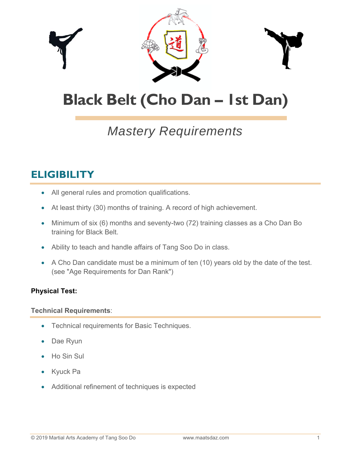

# **Black Belt (Cho Dan – 1st Dan)**

## *Mastery Requirements*

### **ELIGIBILITY**

- All general rules and promotion qualifications.
- At least thirty (30) months of training. A record of high achievement.
- Minimum of six (6) months and seventy-two (72) training classes as a Cho Dan Bo training for Black Belt.
- Ability to teach and handle affairs of Tang Soo Do in class.
- A Cho Dan candidate must be a minimum of ten (10) years old by the date of the test. (see "Age Requirements for Dan Rank")

#### **Physical Test:**

#### **Technical Requirements**:

- Technical requirements for Basic Techniques.
- Dae Ryun
- Ho Sin Sul
- Kyuck Pa
- Additional refinement of techniques is expected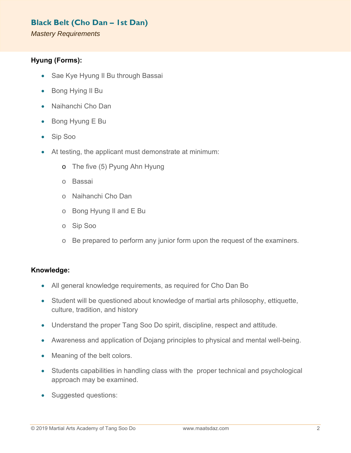#### **Black Belt (Cho Dan – 1st Dan)**

*Mastery Requirements* 

#### **Hyung (Forms):**

- Sae Kye Hyung II Bu through Bassai
- Bong Hying II Bu
- Naihanchi Cho Dan
- Bong Hyung E Bu
- Sip Soo
- At testing, the applicant must demonstrate at minimum:
	- o The five (5) Pyung Ahn Hyung
	- o Bassai
	- o Naihanchi Cho Dan
	- o Bong Hyung Il and E Bu
	- o Sip Soo
	- o Be prepared to perform any junior form upon the request of the examiners.

#### **Knowledge:**

- All general knowledge requirements, as required for Cho Dan Bo
- Student will be questioned about knowledge of martial arts philosophy, ettiquette, culture, tradition, and history
- Understand the proper Tang Soo Do spirit, discipline, respect and attitude.
- Awareness and application of Dojang principles to physical and mental well-being.
- Meaning of the belt colors.
- Students capabilities in handling class with the proper technical and psychological approach may be examined.
- Suggested questions: